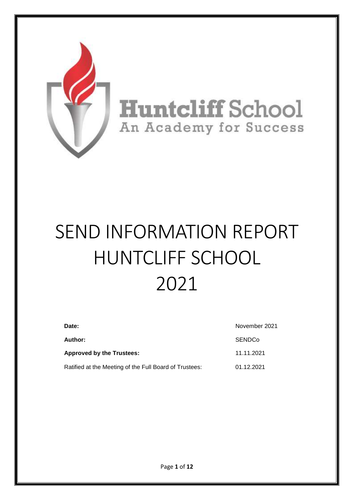

# SEND INFORMATION REPORT HUNTCLIFF SCHOOL 2021

| Date:<br>Author:                                       | November 2021 |  |
|--------------------------------------------------------|---------------|--|
|                                                        | <b>SENDCo</b> |  |
| Approved by the Trustees:                              | 11.11.2021    |  |
| Ratified at the Meeting of the Full Board of Trustees: | 01.12.2021    |  |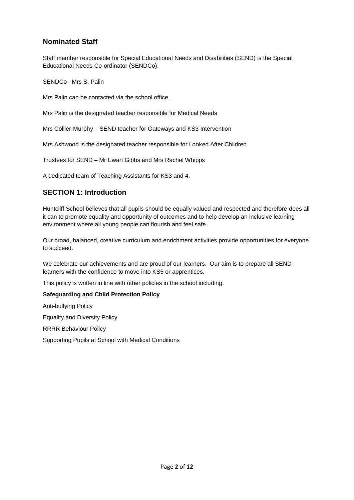# **Nominated Staff**

Staff member responsible for Special Educational Needs and Disabilities (SEND) is the Special Educational Needs Co-ordinator (SENDCo).

SENDCo– Mrs S. Palin

Mrs Palin can be contacted via the school office.

Mrs Palin is the designated teacher responsible for Medical Needs

Mrs Collier-Murphy – SEND teacher for Gateways and KS3 Intervention

Mrs Ashwood is the designated teacher responsible for Looked After Children.

Trustees for SEND – Mr Ewart Gibbs and Mrs Rachel Whipps

A dedicated team of Teaching Assistants for KS3 and 4.

## **SECTION 1: Introduction**

Huntcliff School believes that all pupils should be equally valued and respected and therefore does all it can to promote equality and opportunity of outcomes and to help develop an inclusive learning environment where all young people can flourish and feel safe.

Our broad, balanced, creative curriculum and enrichment activities provide opportunities for everyone to succeed.

We celebrate our achievements and are proud of our learners. Our aim is to prepare all SEND learners with the confidence to move into KS5 or apprentices.

This policy is written in line with other policies in the school including:

#### **Safeguarding and Child Protection Policy**

Anti-bullying Policy

Equality and Diversity Policy

RRRR Behaviour Policy

Supporting Pupils at School with Medical Conditions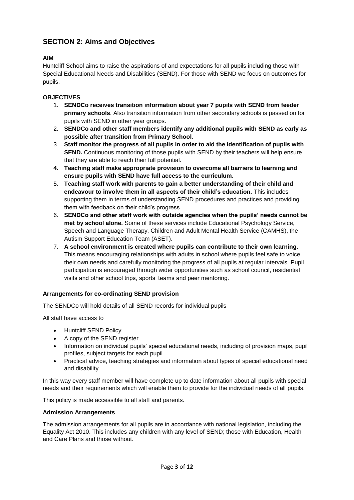# **SECTION 2: Aims and Objectives**

#### **AIM**

Huntcliff School aims to raise the aspirations of and expectations for all pupils including those with Special Educational Needs and Disabilities (SEND). For those with SEND we focus on outcomes for pupils.

#### **OBJECTIVES**

- 1. **SENDCo receives transition information about year 7 pupils with SEND from feeder primary schools**. Also transition information from other secondary schools is passed on for pupils with SEND in other year groups.
- 2. **SENDCo and other staff members identify any additional pupils with SEND as early as possible after transition from Primary School**.
- 3. **Staff monitor the progress of all pupils in order to aid the identification of pupils with SEND.** Continuous monitoring of those pupils with SEND by their teachers will help ensure that they are able to reach their full potential.
- **4. Teaching staff make appropriate provision to overcome all barriers to learning and ensure pupils with SEND have full access to the curriculum.**
- 5. **Teaching staff work with parents to gain a better understanding of their child and endeavour to involve them in all aspects of their child's education.** This includes supporting them in terms of understanding SEND procedures and practices and providing them with feedback on their child's progress.
- 6. **SENDCo and other staff work with outside agencies when the pupils' needs cannot be met by school alone.** Some of these services include Educational Psychology Service, Speech and Language Therapy, Children and Adult Mental Health Service (CAMHS), the Autism Support Education Team (ASET).
- 7. **A school environment is created where pupils can contribute to their own learning.** This means encouraging relationships with adults in school where pupils feel safe to voice their own needs and carefully monitoring the progress of all pupils at regular intervals. Pupil participation is encouraged through wider opportunities such as school council, residential visits and other school trips, sports' teams and peer mentoring.

#### **Arrangements for co-ordinating SEND provision**

The SENDCo will hold details of all SEND records for individual pupils

All staff have access to

- Huntcliff SEND Policy
- A copy of the SEND register
- Information on individual pupils' special educational needs, including of provision maps, pupil profiles, subject targets for each pupil.
- Practical advice, teaching strategies and information about types of special educational need and disability.

In this way every staff member will have complete up to date information about all pupils with special needs and their requirements which will enable them to provide for the individual needs of all pupils.

This policy is made accessible to all staff and parents.

#### **Admission Arrangements**

The admission arrangements for all pupils are in accordance with national legislation, including the Equality Act 2010. This includes any children with any level of SEND; those with Education, Health and Care Plans and those without.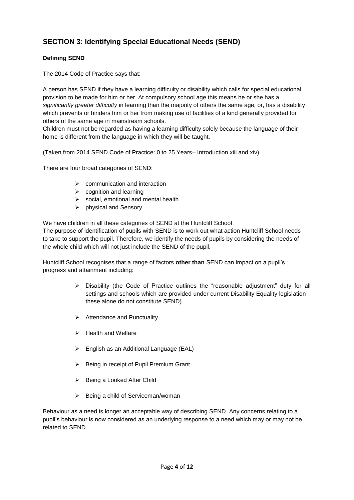# **SECTION 3: Identifying Special Educational Needs (SEND)**

#### **Defining SEND**

The 2014 Code of Practice says that:

A person has SEND if they have a learning difficulty or disability which calls for special educational provision to be made for him or her. At compulsory school age this means he or she has a *significantly greater difficulty* in learning than the majority of others the same age, or, has a disability which prevents or hinders him or her from making use of facilities of a kind generally provided for others of the same age in mainstream schools.

Children must not be regarded as having a learning difficulty solely because the language of their home is different from the language in which they will be taught.

(Taken from 2014 SEND Code of Practice: 0 to 25 Years– Introduction xiii and xiv)

There are four broad categories of SEND:

- ➢ communication and interaction
- $\triangleright$  cognition and learning
- ➢ social, emotional and mental health
- ➢ physical and Sensory.

We have children in all these categories of SEND at the Huntcliff School

The purpose of identification of pupils with SEND is to work out what action Huntcliff School needs to take to support the pupil. Therefore, we identify the needs of pupils by considering the needs of the whole child which will not just include the SEND of the pupil.

Huntcliff School recognises that a range of factors **other than** SEND can impact on a pupil's progress and attainment including:

- $\triangleright$  Disability (the Code of Practice outlines the "reasonable adjustment" duty for all settings and schools which are provided under current Disability Equality legislation – these alone do not constitute SEND)
- ➢ Attendance and Punctuality
- ➢ Health and Welfare
- $\triangleright$  English as an Additional Language (EAL)
- ➢ Being in receipt of Pupil Premium Grant
- ➢ Being a Looked After Child
- ➢ Being a child of Serviceman/woman

Behaviour as a need is longer an acceptable way of describing SEND. Any concerns relating to a pupil's behaviour is now considered as an underlying response to a need which may or may not be related to SEND.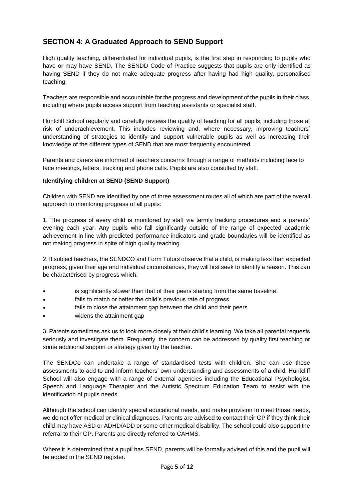# **SECTION 4: A Graduated Approach to SEND Support**

High quality teaching, differentiated for individual pupils, is the first step in responding to pupils who have or may have SEND. The SENDD Code of Practice suggests that pupils are only identified as having SEND if they do not make adequate progress after having had high quality, personalised teaching.

Teachers are responsible and accountable for the progress and development of the pupils in their class, including where pupils access support from teaching assistants or specialist staff.

Huntcliff School regularly and carefully reviews the quality of teaching for all pupils, including those at risk of underachievement. This includes reviewing and, where necessary, improving teachers' understanding of strategies to identify and support vulnerable pupils as well as increasing their knowledge of the different types of SEND that are most frequently encountered.

Parents and carers are informed of teachers concerns through a range of methods including face to face meetings, letters, tracking and phone calls. Pupils are also consulted by staff.

#### **Identifying children at SEND (SEND Support)**

Children with SEND are identified by one of three assessment routes all of which are part of the overall approach to monitoring progress of all pupils:

1. The progress of every child is monitored by staff via termly tracking procedures and a parents' evening each year. Any pupils who fall significantly outside of the range of expected academic achievement in line with predicted performance indicators and grade boundaries will be identified as not making progress in spite of high quality teaching.

2. If subject teachers, the SENDCO and Form Tutors observe that a child, is making less than expected progress, given their age and individual circumstances, they will first seek to identify a reason. This can be characterised by progress which:

- is significantly slower than that of their peers starting from the same baseline
- fails to match or better the child's previous rate of progress
- fails to close the attainment gap between the child and their peers
- widens the attainment gap

3. Parents sometimes ask us to look more closely at their child's learning. We take all parental requests seriously and investigate them. Frequently, the concern can be addressed by quality first teaching or some additional support or strategy given by the teacher.

The SENDCo can undertake a range of standardised tests with children. She can use these assessments to add to and inform teachers' own understanding and assessments of a child. Huntcliff School will also engage with a range of external agencies including the Educational Psychologist, Speech and Language Therapist and the Autistic Spectrum Education Team to assist with the identification of pupils needs.

Although the school can identify special educational needs, and make provision to meet those needs, we do not offer medical or clinical diagnoses. Parents are advised to contact their GP if they think their child may have ASD or ADHD/ADD or some other medical disability. The school could also support the referral to their GP. Parents are directly referred to CAHMS.

Where it is determined that a pupil has SEND, parents will be formally advised of this and the pupil will be added to the SEND register.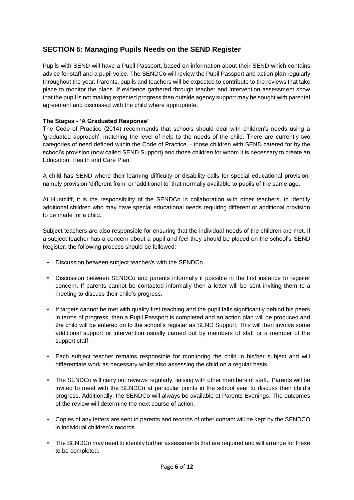# **SECTION 5: Managing Pupils Needs on the SEND Register**

Pupils with SEND will have a Pupil Passport, based on information about their SEND which contains advice for staff and a pupil voice. The SENDCo will review the Pupil Passport and action plan regularly throughout the year. Parents, pupils and teachers will be expected to contribute to the reviews that take place to monitor the plans. If evidence gathered through teacher and intervention assessment show that the pupil is not making expected progress then outside agency support may be sought with parental agreement and discussed with the child where appropriate.

#### **The Stages - 'A Graduated Response'**

The Code of Practice (2014) recommends that schools should deal with children's needs using a 'graduated approach', matching the level of help to the needs of the child. There are currently two categories of need defined within the Code of Practice – those children with SEND catered for by the school's provision (now called SEND Support) and those children for whom it is necessary to create an Education, Health and Care Plan.

A child has SEND where their learning difficulty or disability calls for special educational provision, namely provision 'different from' or 'additional to' that normally available to pupils of the same age.

At Huntcliff, it is the responsibility of the SENDCo in collaboration with other teachers, to identify additional children who may have special educational needs requiring different or additional provision to be made for a child.

Subject teachers are also responsible for ensuring that the individual needs of the children are met. If a subject teacher has a concern about a pupil and feel they should be placed on the school's SEND Register, the following process should be followed:

- Discussion between subject teacher/s with the SENDCo
- Discussion between SENDCo and parents informally if possible in the first instance to register concern. If parents cannot be contacted informally then a letter will be sent inviting them to a meeting to discuss their child's progress.
- If targets cannot be met with quality first teaching and the pupil falls significantly behind his peers in terms of progress, then a Pupil Passport is completed and an action plan will be produced and the child will be entered on to the school's register as SEND Support. This will then involve some additional support or intervention usually carried out by members of staff or a member of the support staff.
- Each subject teacher remains responsible for monitoring the child in his/her subject and will differentiate work as necessary whilst also assessing the child on a regular basis.
- The SENDCo will carry out reviews regularly, liaising with other members of staff. Parents will be invited to meet with the SENDCo at particular points in the school year to discuss their child's progress. Additionally, the SENDCo will always be available at Parents Evenings. The outcomes of the review will determine the next course of action.
- Copies of any letters are sent to parents and records of other contact will be kept by the SENDCO in individual children's records.
- The SENDCo may need to identify further assessments that are required and will arrange for these to be completed.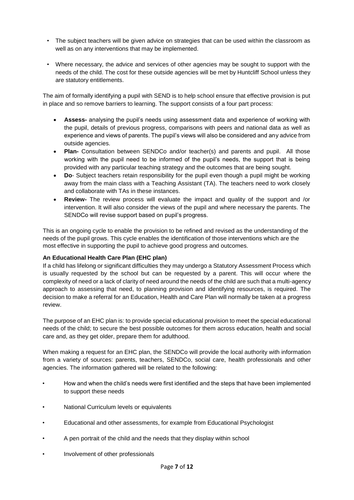- The subject teachers will be given advice on strategies that can be used within the classroom as well as on any interventions that may be implemented.
- Where necessary, the advice and services of other agencies may be sought to support with the needs of the child. The cost for these outside agencies will be met by Huntcliff School unless they are statutory entitlements.

The aim of formally identifying a pupil with SEND is to help school ensure that effective provision is put in place and so remove barriers to learning. The support consists of a four part process:

- **Assess-** analysing the pupil's needs using assessment data and experience of working with the pupil, details of previous progress, comparisons with peers and national data as well as experience and views of parents. The pupil's views will also be considered and any advice from outside agencies.
- **Plan-** Consultation between SENDCo and/or teacher(s) and parents and pupil. All those working with the pupil need to be informed of the pupil's needs, the support that is being provided with any particular teaching strategy and the outcomes that are being sought.
- **Do** Subject teachers retain responsibility for the pupil even though a pupil might be working away from the main class with a Teaching Assistant (TA). The teachers need to work closely and collaborate with TAs in these instances.
- **Review-** The review process will evaluate the impact and quality of the support and /or intervention. It will also consider the views of the pupil and where necessary the parents. The SENDCo will revise support based on pupil's progress.

This is an ongoing cycle to enable the provision to be refined and revised as the understanding of the needs of the pupil grows. This cycle enables the identification of those interventions which are the most effective in supporting the pupil to achieve good progress and outcomes.

#### **An Educational Health Care Plan (EHC plan)**

If a child has lifelong or significant difficulties they may undergo a Statutory Assessment Process which is usually requested by the school but can be requested by a parent. This will occur where the complexity of need or a lack of clarity of need around the needs of the child are such that a multi-agency approach to assessing that need, to planning provision and identifying resources, is required. The decision to make a referral for an Education, Health and Care Plan will normally be taken at a progress review.

The purpose of an EHC plan is: to provide special educational provision to meet the special educational needs of the child; to secure the best possible outcomes for them across education, health and social care and, as they get older, prepare them for adulthood.

When making a request for an EHC plan, the SENDCo will provide the local authority with information from a variety of sources: parents, teachers, SENDCo, social care, health professionals and other agencies. The information gathered will be related to the following:

- How and when the child's needs were first identified and the steps that have been implemented to support these needs
- National Curriculum levels or equivalents
- Educational and other assessments, for example from Educational Psychologist
- A pen portrait of the child and the needs that they display within school
- Involvement of other professionals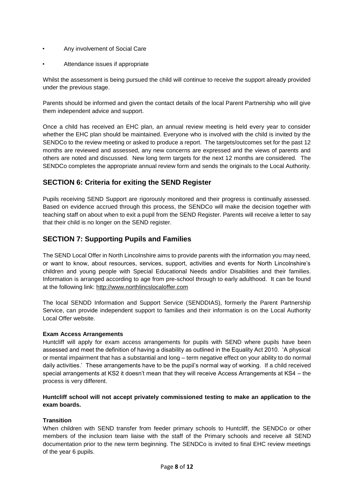- Any involvement of Social Care
- Attendance issues if appropriate

Whilst the assessment is being pursued the child will continue to receive the support already provided under the previous stage.

Parents should be informed and given the contact details of the local Parent Partnership who will give them independent advice and support.

Once a child has received an EHC plan, an annual review meeting is held every year to consider whether the EHC plan should be maintained. Everyone who is involved with the child is invited by the SENDCo to the review meeting or asked to produce a report. The targets/outcomes set for the past 12 months are reviewed and assessed, any new concerns are expressed and the views of parents and others are noted and discussed. New long term targets for the next 12 months are considered. The SENDCo completes the appropriate annual review form and sends the originals to the Local Authority.

# **SECTION 6: Criteria for exiting the SEND Register**

Pupils receiving SEND Support are rigorously monitored and their progress is continually assessed. Based on evidence accrued through this process, the SENDCo will make the decision together with teaching staff on about when to exit a pupil from the SEND Register. Parents will receive a letter to say that their child is no longer on the SEND register.

# **SECTION 7: Supporting Pupils and Families**

The SEND Local Offer in North Lincolnshire aims to provide parents with the information you may need, or want to know, about resources, services, support, activities and events for North Lincolnshire's children and young people with Special Educational Needs and/or Disabilities and their families. Information is arranged according to age from pre-school through to early adulthood. It can be found at the following link: [http://www.northlincslocaloffer.com](http://www.northlincslocaloffer.com/)

The local SENDD Information and Support Service (SENDDIAS), formerly the Parent Partnership Service, can provide independent support to families and their information is on the Local Authority Local Offer website.

#### **Exam Access Arrangements**

Huntcliff will apply for exam access arrangements for pupils with SEND where pupils have been assessed and meet the definition of having a disability as outlined in the Equality Act 2010. 'A physical or mental impairment that has a substantial and long – term negative effect on your ability to do normal daily activities.' These arrangements have to be the pupil's normal way of working. If a child received special arrangements at KS2 it doesn't mean that they will receive Access Arrangements at KS4 – the process is very different.

#### **Huntcliff school will not accept privately commissioned testing to make an application to the exam boards.**

#### **Transition**

When children with SEND transfer from feeder primary schools to Huntcliff, the SENDCo or other members of the inclusion team liaise with the staff of the Primary schools and receive all SEND documentation prior to the new term beginning. The SENDCo is invited to final EHC review meetings of the year 6 pupils.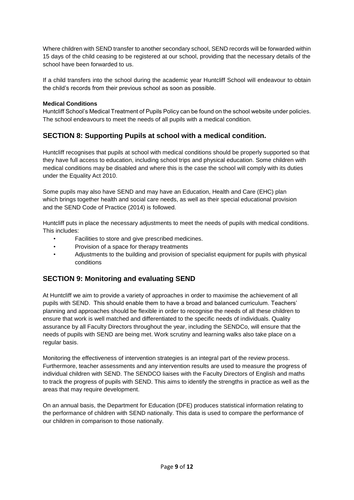Where children with SEND transfer to another secondary school, SEND records will be forwarded within 15 days of the child ceasing to be registered at our school, providing that the necessary details of the school have been forwarded to us.

If a child transfers into the school during the academic year Huntcliff School will endeavour to obtain the child's records from their previous school as soon as possible.

#### **Medical Conditions**

Huntcliff School's Medical Treatment of Pupils Policy can be found on the school website under policies. The school endeavours to meet the needs of all pupils with a medical condition.

## **SECTION 8: Supporting Pupils at school with a medical condition.**

Huntcliff recognises that pupils at school with medical conditions should be properly supported so that they have full access to education, including school trips and physical education. Some children with medical conditions may be disabled and where this is the case the school will comply with its duties under the Equality Act 2010.

Some pupils may also have SEND and may have an Education, Health and Care (EHC) plan which brings together health and social care needs, as well as their special educational provision and the SEND Code of Practice (2014) is followed.

Huntcliff puts in place the necessary adjustments to meet the needs of pupils with medical conditions. This includes:

- Facilities to store and give prescribed medicines.
- Provision of a space for therapy treatments
- Adjustments to the building and provision of specialist equipment for pupils with physical conditions

## **SECTION 9: Monitoring and evaluating SEND**

At Huntcliff we aim to provide a variety of approaches in order to maximise the achievement of all pupils with SEND. This should enable them to have a broad and balanced curriculum. Teachers' planning and approaches should be flexible in order to recognise the needs of all these children to ensure that work is well matched and differentiated to the specific needs of individuals. Quality assurance by all Faculty Directors throughout the year, including the SENDCo, will ensure that the needs of pupils with SEND are being met. Work scrutiny and learning walks also take place on a regular basis.

Monitoring the effectiveness of intervention strategies is an integral part of the review process. Furthermore, teacher assessments and any intervention results are used to measure the progress of individual children with SEND. The SENDCO liaises with the Faculty Directors of English and maths to track the progress of pupils with SEND. This aims to identify the strengths in practice as well as the areas that may require development.

On an annual basis, the Department for Education (DFE) produces statistical information relating to the performance of children with SEND nationally. This data is used to compare the performance of our children in comparison to those nationally.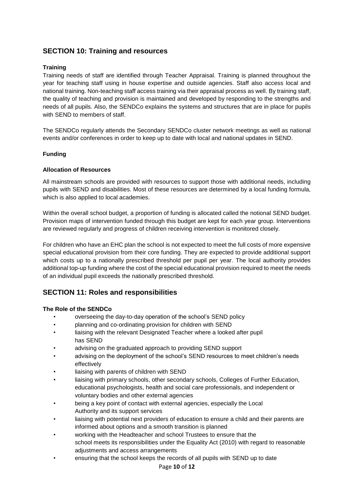## **SECTION 10: Training and resources**

#### **Training**

Training needs of staff are identified through Teacher Appraisal. Training is planned throughout the year for teaching staff using in house expertise and outside agencies. Staff also access local and national training. Non-teaching staff access training via their appraisal process as well. By training staff, the quality of teaching and provision is maintained and developed by responding to the strengths and needs of all pupils. Also, the SENDCo explains the systems and structures that are in place for pupils with SEND to members of staff.

The SENDCo regularly attends the Secondary SENDCo cluster network meetings as well as national events and/or conferences in order to keep up to date with local and national updates in SEND.

#### **Funding**

#### **Allocation of Resources**

All mainstream schools are provided with resources to support those with additional needs, including pupils with SEND and disabilities. Most of these resources are determined by a local funding formula, which is also applied to local academies.

Within the overall school budget, a proportion of funding is allocated called the notional SEND budget. Provision maps of intervention funded through this budget are kept for each year group. Interventions are reviewed regularly and progress of children receiving intervention is monitored closely.

For children who have an EHC plan the school is not expected to meet the full costs of more expensive special educational provision from their core funding. They are expected to provide additional support which costs up to a nationally prescribed threshold per pupil per year. The local authority provides additional top-up funding where the cost of the special educational provision required to meet the needs of an individual pupil exceeds the nationally prescribed threshold.

## **SECTION 11: Roles and responsibilities**

#### **The Role of the SENDCo**

- overseeing the day-to-day operation of the school's SEND policy
- planning and co-ordinating provision for children with SEND
- liaising with the relevant Designated Teacher where a looked after pupil has SEND
- advising on the graduated approach to providing SEND support
- advising on the deployment of the school's SEND resources to meet children's needs effectively
- liaising with parents of children with SEND
- liaising with primary schools, other secondary schools, Colleges of Further Education, educational psychologists, health and social care professionals, and independent or voluntary bodies and other external agencies
- being a key point of contact with external agencies, especially the Local Authority and its support services
- liaising with potential next providers of education to ensure a child and their parents are informed about options and a smooth transition is planned
- working with the Headteacher and school Trustees to ensure that the school meets its responsibilities under the Equality Act (2010) with regard to reasonable adjustments and access arrangements
- ensuring that the school keeps the records of all pupils with SEND up to date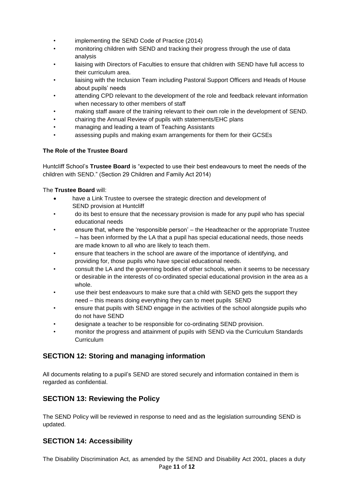- implementing the SEND Code of Practice (2014)
- monitoring children with SEND and tracking their progress through the use of data analysis
- liaising with Directors of Faculties to ensure that children with SEND have full access to their curriculum area.
- liaising with the Inclusion Team including Pastoral Support Officers and Heads of House about pupils' needs
- attending CPD relevant to the development of the role and feedback relevant information when necessary to other members of staff
- making staff aware of the training relevant to their own role in the development of SEND.
- chairing the Annual Review of pupils with statements/EHC plans
- managing and leading a team of Teaching Assistants
- assessing pupils and making exam arrangements for them for their GCSEs

#### **The Role of the Trustee Board**

Huntcliff School's **Trustee Board** is "expected to use their best endeavours to meet the needs of the children with SEND." (Section 29 Children and Family Act 2014)

#### The **Trustee Board** will:

- have a Link Trustee to oversee the strategic direction and development of SEND provision at Huntcliff
- do its best to ensure that the necessary provision is made for any pupil who has special educational needs
- ensure that, where the 'responsible person' the Headteacher or the appropriate Trustee – has been informed by the LA that a pupil has special educational needs, those needs are made known to all who are likely to teach them.
- ensure that teachers in the school are aware of the importance of identifying, and providing for, those pupils who have special educational needs.
- consult the LA and the governing bodies of other schools, when it seems to be necessary or desirable in the interests of co-ordinated special educational provision in the area as a whole.
- use their best endeavours to make sure that a child with SEND gets the support they need – this means doing everything they can to meet pupils SEND
- ensure that pupils with SEND engage in the activities of the school alongside pupils who do not have SEND
- designate a teacher to be responsible for co-ordinating SEND provision.
- monitor the progress and attainment of pupils with SEND via the Curriculum Standards **Curriculum**

# **SECTION 12: Storing and managing information**

All documents relating to a pupil's SEND are stored securely and information contained in them is regarded as confidential.

# **SECTION 13: Reviewing the Policy**

The SEND Policy will be reviewed in response to need and as the legislation surrounding SEND is updated.

# **SECTION 14: Accessibility**

Page **11** of **12** The Disability Discrimination Act, as amended by the SEND and Disability Act 2001, places a duty